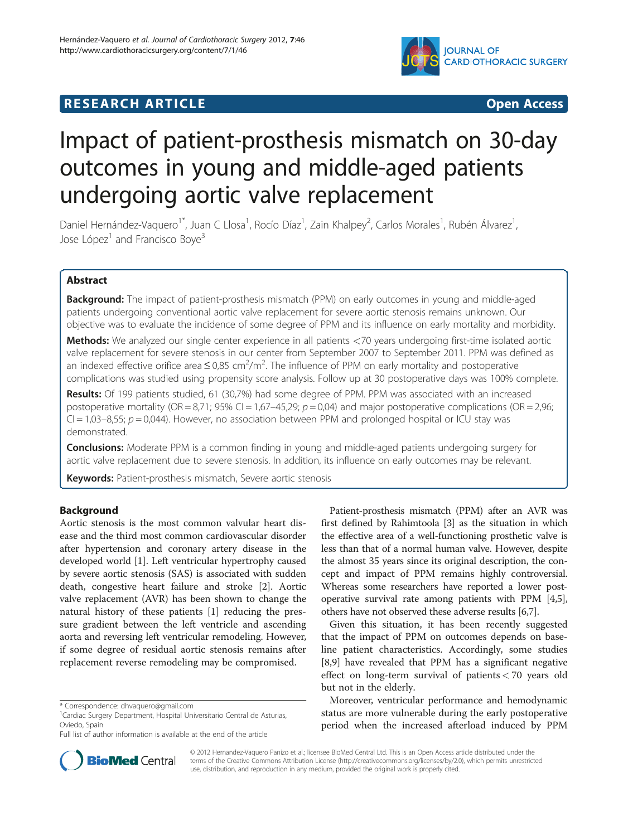# **IOURNAL OF CARDIOTHORACIC SURGERY**

# **RESEARCH ARTICLE Example 2014 CONSIDERING CONSIDERING CONSIDERING CONSIDERING CONSIDERING CONSIDERING CONSIDERING CONSIDERING CONSIDERING CONSIDERING CONSIDERING CONSIDERING CONSIDERING CONSIDERING CONSIDERING CONSIDE**



# Impact of patient-prosthesis mismatch on 30-day outcomes in young and middle-aged patients undergoing aortic valve replacement

Daniel Hernández-Vaquero<sup>1\*</sup>, Juan C Llosa<sup>1</sup>, Rocío Díaz<sup>1</sup>, Zain Khalpey<sup>2</sup>, Carlos Morales<sup>1</sup>, Rubén Álvarez<sup>1</sup> , Jose López<sup>1</sup> and Francisco Boye<sup>3</sup>

# Abstract

**Background:** The impact of patient-prosthesis mismatch (PPM) on early outcomes in young and middle-aged patients undergoing conventional aortic valve replacement for severe aortic stenosis remains unknown. Our objective was to evaluate the incidence of some degree of PPM and its influence on early mortality and morbidity.

Methods: We analyzed our single center experience in all patients <70 years undergoing first-time isolated aortic valve replacement for severe stenosis in our center from September 2007 to September 2011. PPM was defined as an indexed effective orifice area  $\leq$  0,85 cm<sup>2</sup>/m<sup>2</sup>. The influence of PPM on early mortality and postoperative complications was studied using propensity score analysis. Follow up at 30 postoperative days was 100% complete.

Results: Of 199 patients studied, 61 (30,7%) had some degree of PPM. PPM was associated with an increased postoperative mortality (OR = 8,71; 95% CI = 1,67–45,29;  $p = 0.04$ ) and major postoperative complications (OR = 2,96;  $Cl = 1,03-8,55; p = 0,044$ ). However, no association between PPM and prolonged hospital or ICU stay was demonstrated.

**Conclusions:** Moderate PPM is a common finding in young and middle-aged patients undergoing surgery for aortic valve replacement due to severe stenosis. In addition, its influence on early outcomes may be relevant.

Keywords: Patient-prosthesis mismatch, Severe aortic stenosis

# Background

Aortic stenosis is the most common valvular heart disease and the third most common cardiovascular disorder after hypertension and coronary artery disease in the developed world [[1](#page-5-0)]. Left ventricular hypertrophy caused by severe aortic stenosis (SAS) is associated with sudden death, congestive heart failure and stroke [[2\]](#page-5-0). Aortic valve replacement (AVR) has been shown to change the natural history of these patients [[1\]](#page-5-0) reducing the pressure gradient between the left ventricle and ascending aorta and reversing left ventricular remodeling. However, if some degree of residual aortic stenosis remains after replacement reverse remodeling may be compromised.



Given this situation, it has been recently suggested that the impact of PPM on outcomes depends on baseline patient characteristics. Accordingly, some studies [[8,9\]](#page-5-0) have revealed that PPM has a significant negative effect on long-term survival of patients < 70 years old but not in the elderly.

Moreover, ventricular performance and hemodynamic status are more vulnerable during the early postoperative period when the increased afterload induced by PPM



© 2012 Hernandez-Vaquero Panizo et al.; licensee BioMed Central Ltd. This is an Open Access article distributed under the terms of the Creative Commons Attribution License (<http://creativecommons.org/licenses/by/2.0>), which permits unrestricted use, distribution, and reproduction in any medium, provided the original work is properly cited.

<sup>\*</sup> Correspondence: [dhvaquero@gmail.com](mailto:dhvaquero@gmail.com) <sup>1</sup>

<sup>&</sup>lt;sup>1</sup> Cardiac Surgery Department, Hospital Universitario Central de Asturias, Oviedo, Spain

Full list of author information is available at the end of the article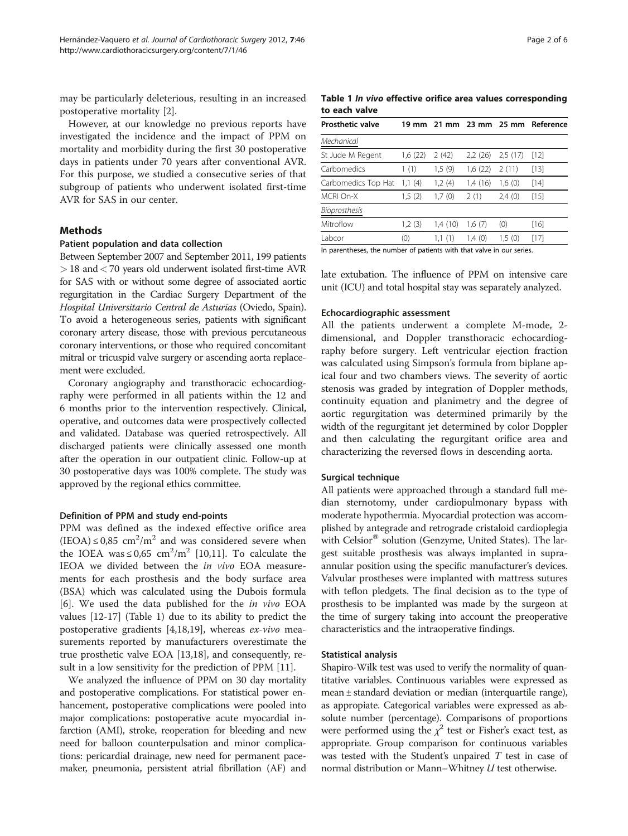may be particularly deleterious, resulting in an increased postoperative mortality [[2\]](#page-5-0).

However, at our knowledge no previous reports have investigated the incidence and the impact of PPM on mortality and morbidity during the first 30 postoperative days in patients under 70 years after conventional AVR. For this purpose, we studied a consecutive series of that subgroup of patients who underwent isolated first-time AVR for SAS in our center.

#### Methods

#### Patient population and data collection

Between September 2007 and September 2011, 199 patients > 18 and< 70 years old underwent isolated first-time AVR for SAS with or without some degree of associated aortic regurgitation in the Cardiac Surgery Department of the Hospital Universitario Central de Asturias (Oviedo, Spain). To avoid a heterogeneous series, patients with significant coronary artery disease, those with previous percutaneous coronary interventions, or those who required concomitant mitral or tricuspid valve surgery or ascending aorta replacement were excluded.

Coronary angiography and transthoracic echocardiography were performed in all patients within the 12 and 6 months prior to the intervention respectively. Clinical, operative, and outcomes data were prospectively collected and validated. Database was queried retrospectively. All discharged patients were clinically assessed one month after the operation in our outpatient clinic. Follow-up at 30 postoperative days was 100% complete. The study was approved by the regional ethics committee.

#### Definition of PPM and study end-points

PPM was defined as the indexed effective orifice area  $(IEOA) \le 0.85$  cm<sup>2</sup>/m<sup>2</sup> and was considered severe when the IOEA was  $\leq 0.65$  cm<sup>2</sup>/m<sup>2</sup> [[10,11](#page-5-0)]. To calculate the IEOA we divided between the in vivo EOA measurements for each prosthesis and the body surface area (BSA) which was calculated using the Dubois formula [[6\]](#page-5-0). We used the data published for the in vivo EOA values [[12-17\]](#page-5-0) (Table 1) due to its ability to predict the postoperative gradients [[4,18,19\]](#page-5-0), whereas ex-vivo measurements reported by manufacturers overestimate the true prosthetic valve EOA [\[13,18\]](#page-5-0), and consequently, result in a low sensitivity for the prediction of PPM [[11](#page-5-0)].

We analyzed the influence of PPM on 30 day mortality and postoperative complications. For statistical power enhancement, postoperative complications were pooled into major complications: postoperative acute myocardial infarction (AMI), stroke, reoperation for bleeding and new need for balloon counterpulsation and minor complications: pericardial drainage, new need for permanent pacemaker, pneumonia, persistent atrial fibrillation (AF) and

Table 1 In vivo effective orifice area values corresponding to each valve

| <b>Prosthetic valve</b> |         |         |         |         | 19 mm 21 mm 23 mm 25 mm Reference |
|-------------------------|---------|---------|---------|---------|-----------------------------------|
| Mechanical              |         |         |         |         |                                   |
| St Jude M Regent        | 1,6(22) | 2(42)   | 2,2(26) | 2.5(17) | [12]                              |
| Carbomedics             | 1(1)    | 1,5(9)  | 1,6(22) | 2(11)   | [13]                              |
| Carbomedics Top Hat     | 1,1(4)  | 1,2(4)  | 1,4(16) | 1,6(0)  | $[14]$                            |
| MCRI On-X               | 1,5(2)  | 1,7(0)  | 2(1)    | 2,4(0)  | $[15]$                            |
| Bioprosthesis           |         |         |         |         |                                   |
| Mitroflow               | 1,2(3)  | 1,4(10) | 1,6(7)  | (0)     | $[16]$                            |
| Labcor                  | (0)     | 1.1(1)  | 1,4(0)  | 1,5(0)  | [17]                              |

In parentheses, the number of patients with that valve in our series.

late extubation. The influence of PPM on intensive care unit (ICU) and total hospital stay was separately analyzed.

## Echocardiographic assessment

All the patients underwent a complete M-mode, 2 dimensional, and Doppler transthoracic echocardiography before surgery. Left ventricular ejection fraction was calculated using Simpson's formula from biplane apical four and two chambers views. The severity of aortic stenosis was graded by integration of Doppler methods, continuity equation and planimetry and the degree of aortic regurgitation was determined primarily by the width of the regurgitant jet determined by color Doppler and then calculating the regurgitant orifice area and characterizing the reversed flows in descending aorta.

#### Surgical technique

All patients were approached through a standard full median sternotomy, under cardiopulmonary bypass with moderate hypothermia. Myocardial protection was accomplished by antegrade and retrograde cristaloid cardioplegia with Celsior<sup>®</sup> solution (Genzyme, United States). The largest suitable prosthesis was always implanted in supraannular position using the specific manufacturer's devices. Valvular prostheses were implanted with mattress sutures with teflon pledgets. The final decision as to the type of prosthesis to be implanted was made by the surgeon at the time of surgery taking into account the preoperative characteristics and the intraoperative findings.

#### Statistical analysis

Shapiro-Wilk test was used to verify the normality of quantitative variables. Continuous variables were expressed as mean ± standard deviation or median (interquartile range), as appropiate. Categorical variables were expressed as absolute number (percentage). Comparisons of proportions were performed using the  $\chi^2$  test or Fisher's exact test, as appropriate. Group comparison for continuous variables was tested with the Student's unpaired  $T$  test in case of normal distribution or Mann–Whitney U test otherwise.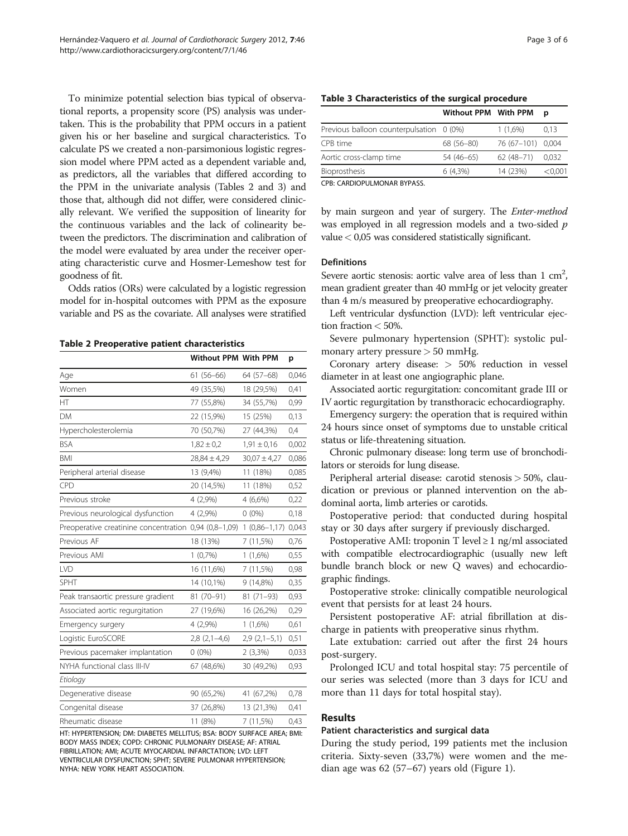<span id="page-2-0"></span>To minimize potential selection bias typical of observational reports, a propensity score (PS) analysis was undertaken. This is the probability that PPM occurs in a patient given his or her baseline and surgical characteristics. To calculate PS we created a non-parsimonious logistic regression model where PPM acted as a dependent variable and, as predictors, all the variables that differed according to the PPM in the univariate analysis (Tables 2 and 3) and those that, although did not differ, were considered clinically relevant. We verified the supposition of linearity for the continuous variables and the lack of colinearity between the predictors. The discrimination and calibration of the model were evaluated by area under the receiver operating characteristic curve and Hosmer-Lemeshow test for goodness of fit.

Odds ratios (ORs) were calculated by a logistic regression model for in-hospital outcomes with PPM as the exposure variable and PS as the covariate. All analyses were stratified

Table 2 Preoperative patient characteristics

|                                                       | Without PPM With PPM |                  | p     |
|-------------------------------------------------------|----------------------|------------------|-------|
| Age                                                   | $61(56-66)$          | 64 (57-68)       | 0,046 |
| Women                                                 | 49 (35,5%)           | 18 (29,5%)       | 0,41  |
| HT                                                    | 77 (55,8%)           | 34 (55,7%)       | 0,99  |
| <b>DM</b>                                             | 22 (15,9%)           | 15 (25%)         | 0,13  |
| Hypercholesterolemia                                  | 70 (50,7%)           | 27 (44,3%)       | 0,4   |
| <b>BSA</b>                                            | $1,82 \pm 0,2$       | $1,91 \pm 0,16$  | 0,002 |
| <b>BMI</b>                                            | $28,84 \pm 4,29$     | $30,07 \pm 4,27$ | 0,086 |
| Peripheral arterial disease                           | 13 (9,4%)            | 11 (18%)         | 0,085 |
| CPD                                                   | 20 (14,5%)           | 11 (18%)         | 0,52  |
| Previous stroke                                       | 4 (2,9%)             | 4 (6,6%)         | 0,22  |
| Previous neurological dysfunction                     | 4 (2,9%)             | $0(0\%)$         | 0,18  |
| Preoperative creatinine concentration 0,94 (0,8-1,09) |                      | $1(0,86-1,17)$   | 0,043 |
| Previous AF                                           | 18 (13%)             | 7(11,5%)         | 0,76  |
| Previous AMI                                          | $1(0,7\%)$           | 1(1,6%)          | 0,55  |
| LVD                                                   | 16 (11,6%)           | 7(11,5%)         | 0,98  |
| <b>SPHT</b>                                           | 14 (10,1%)           | 9 (14,8%)        | 0,35  |
| Peak transaortic pressure gradient                    | 81 (70-91)           | $81(71-93)$      | 0,93  |
| Associated aortic regurgitation                       | 27 (19,6%)           | 16 (26,2%)       | 0,29  |
| Emergency surgery                                     | 4 (2,9%)             | $1(1,6\%)$       | 0,61  |
| Logistic EuroSCORE                                    | $2,8(2,1-4,6)$       | $2,9(2,1-5,1)$   | 0,51  |
| Previous pacemaker implantation                       | $0(0\%)$             | $2(3,3\%)$       | 0,033 |
| NYHA functional class III-IV                          | 67 (48,6%)           | 30 (49,2%)       | 0,93  |
| Etiology                                              |                      |                  |       |
| Degenerative disease                                  | 90 (65,2%)           | 41 (67,2%)       | 0,78  |
| Congenital disease                                    | 37 (26,8%)           | 13 (21,3%)       | 0,41  |
| Rheumatic disease                                     | 11 (8%)              | 7 (11,5%)        | 0,43  |

HT: HYPERTENSION; DM: DIABETES MELLITUS; BSA: BODY SURFACE AREA; BMI: BODY MASS INDEX; COPD: CHRONIC PULMONARY DISEASE; AF: ATRIAL FIBRILLATION; AMI; ACUTE MYOCARDIAL INFARCTATION; LVD: LEFT VENTRICULAR DYSFUNCTION; SPHT; SEVERE PULMONAR HYPERTENSION; NYHA: NEW YORK HEART ASSOCIATION.

|  |  |  | Table 3 Characteristics of the surgical procedure |  |  |  |  |  |  |  |
|--|--|--|---------------------------------------------------|--|--|--|--|--|--|--|
|--|--|--|---------------------------------------------------|--|--|--|--|--|--|--|

|                                          | Without PPM With PPM |                   | D       |
|------------------------------------------|----------------------|-------------------|---------|
| Previous balloon counterpulsation 0 (0%) |                      | $1(1.6\%)$        | 0.13    |
| CPB time                                 | 68 (56-80)           | 76 (67-101) 0,004 |         |
| Aortic cross-clamp time                  | 54 (46–65)           | $62(48-71)$       | 0.032   |
| Bioprosthesis                            | $6(4.3\%)$           | 14 (23%)          | < 0.001 |

CPB: CARDIOPULMONAR BYPASS.

by main surgeon and year of surgery. The Enter-method was employed in all regression models and a two-sided  $p$ value< 0,05 was considered statistically significant.

#### Definitions

Severe aortic stenosis: aortic valve area of less than  $1 \text{ cm}^2$ , mean gradient greater than 40 mmHg or jet velocity greater than 4 m/s measured by preoperative echocardiography.

Left ventricular dysfunction (LVD): left ventricular ejection fraction  $< 50\%$ .

Severe pulmonary hypertension (SPHT): systolic pulmonary artery pressure  $> 50$  mmHg.

Coronary artery disease: > 50% reduction in vessel diameter in at least one angiographic plane.

Associated aortic regurgitation: concomitant grade III or IV aortic regurgitation by transthoracic echocardiography.

Emergency surgery: the operation that is required within 24 hours since onset of symptoms due to unstable critical status or life-threatening situation.

Chronic pulmonary disease: long term use of bronchodilators or steroids for lung disease.

Peripheral arterial disease: carotid stenosis > 50%, claudication or previous or planned intervention on the abdominal aorta, limb arteries or carotids.

Postoperative period: that conducted during hospital stay or 30 days after surgery if previously discharged.

Postoperative AMI: troponin T level  $\geq 1$  ng/ml associated with compatible electrocardiographic (usually new left bundle branch block or new Q waves) and echocardiographic findings.

Postoperative stroke: clinically compatible neurological event that persists for at least 24 hours.

Persistent postoperative AF: atrial fibrillation at discharge in patients with preoperative sinus rhythm.

Late extubation: carried out after the first 24 hours post-surgery.

Prolonged ICU and total hospital stay: 75 percentile of our series was selected (more than 3 days for ICU and more than 11 days for total hospital stay).

# Results

#### Patient characteristics and surgical data

During the study period, 199 patients met the inclusion criteria. Sixty-seven (33,7%) were women and the median age was 62 (57–67) years old (Figure [1\)](#page-3-0).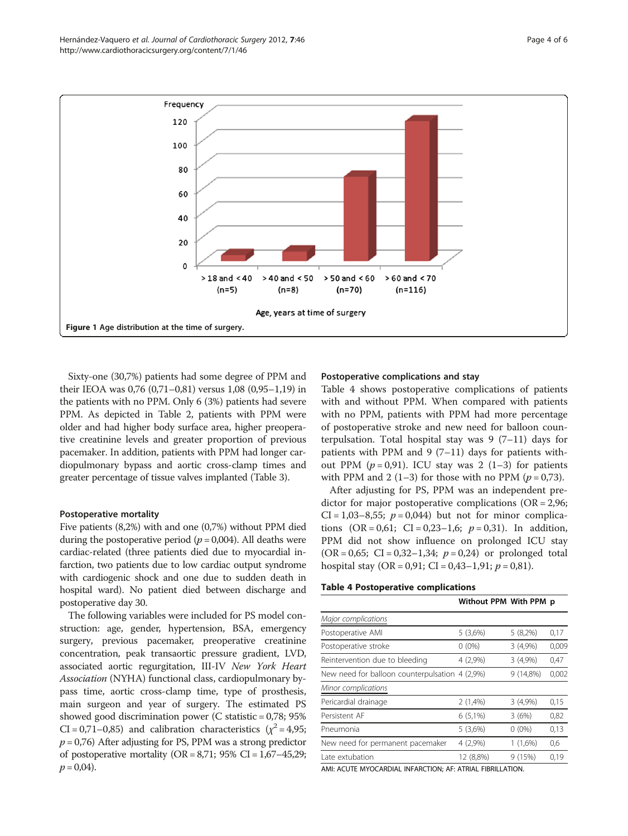Sixty-one (30,7%) patients had some degree of PPM and their IEOA was 0,76 (0,71–0,81) versus 1,08 (0,95–1,19) in the patients with no PPM. Only 6 (3%) patients had severe PPM. As depicted in Table [2](#page-2-0), patients with PPM were older and had higher body surface area, higher preoperative creatinine levels and greater proportion of previous pacemaker. In addition, patients with PPM had longer cardiopulmonary bypass and aortic cross-clamp times and greater percentage of tissue valves implanted (Table [3\)](#page-2-0).

#### Postoperative mortality

Five patients (8,2%) with and one (0,7%) without PPM died during the postoperative period ( $p = 0.004$ ). All deaths were cardiac-related (three patients died due to myocardial infarction, two patients due to low cardiac output syndrome with cardiogenic shock and one due to sudden death in hospital ward). No patient died between discharge and postoperative day 30.

The following variables were included for PS model construction: age, gender, hypertension, BSA, emergency surgery, previous pacemaker, preoperative creatinine concentration, peak transaortic pressure gradient, LVD, associated aortic regurgitation, III-IV New York Heart Association (NYHA) functional class, cardiopulmonary bypass time, aortic cross-clamp time, type of prosthesis, main surgeon and year of surgery. The estimated PS showed good discrimination power (C statistic = 0,78; 95%  $CI = 0.71 - 0.85$ ) and calibration characteristics ( $\chi^2 = 4.95$ ;  $p = 0.76$ ) After adjusting for PS, PPM was a strong predictor of postoperative mortality ( $OR = 8,71$ ; 95%  $CI = 1,67-45,29$ ;  $p = 0.04$ ).

#### Postoperative complications and stay

Table 4 shows postoperative complications of patients with and without PPM. When compared with patients with no PPM, patients with PPM had more percentage of postoperative stroke and new need for balloon counterpulsation. Total hospital stay was  $9(7-11)$  days for patients with PPM and 9 (7–11) days for patients without PPM  $(p=0.91)$ . ICU stay was 2 (1–3) for patients with PPM and 2 (1–3) for those with no PPM ( $p = 0.73$ ).

After adjusting for PS, PPM was an independent predictor for major postoperative complications (OR = 2,96;  $CI = 1,03-8,55$ ;  $p = 0,044$ ) but not for minor complications  $(OR = 0.61; CI = 0.23-1.6; p = 0.31)$ . In addition, PPM did not show influence on prolonged ICU stay  $(OR = 0.65; CI = 0.32 - 1.34; p = 0.24)$  or prolonged total hospital stay (OR = 0,91; CI = 0,43-1,91;  $p = 0.81$ ).

#### Table 4 Postoperative complications

|                                                | Without PPM With PPM p |             |       |
|------------------------------------------------|------------------------|-------------|-------|
| Major complications                            |                        |             |       |
| Postoperative AMI                              | 5(3,6%)                | $5(8,2\%)$  | 0,17  |
| Postoperative stroke                           | $0(0\%)$               | 3(4,9%)     | 0,009 |
| Reintervention due to bleeding                 | 4 (2,9%)               | 3(4,9%)     | 0,47  |
| New need for balloon counterpulsation 4 (2,9%) |                        | $9(14,8\%)$ | 0,002 |
| Minor complications                            |                        |             |       |
| Pericardial drainage                           | 2(1,4%)                | 3(4,9%)     | 0,15  |
| Persistent AF                                  | $6(5,1\%)$             | 3(6%)       | 0,82  |
| Pneumonia                                      | 5(3,6%)                | $0(0\%)$    | 0,13  |
| New need for permanent pacemaker               | 4(2,9%)                | $1(1,6\%)$  | 0,6   |
| Late extubation                                | 12 (8,8%)              | 9(15%)      | 0,19  |
|                                                |                        |             |       |

AMI: ACUTE MYOCARDIAL INFARCTION; AF: ATRIAL FIBRILLATION.

<span id="page-3-0"></span>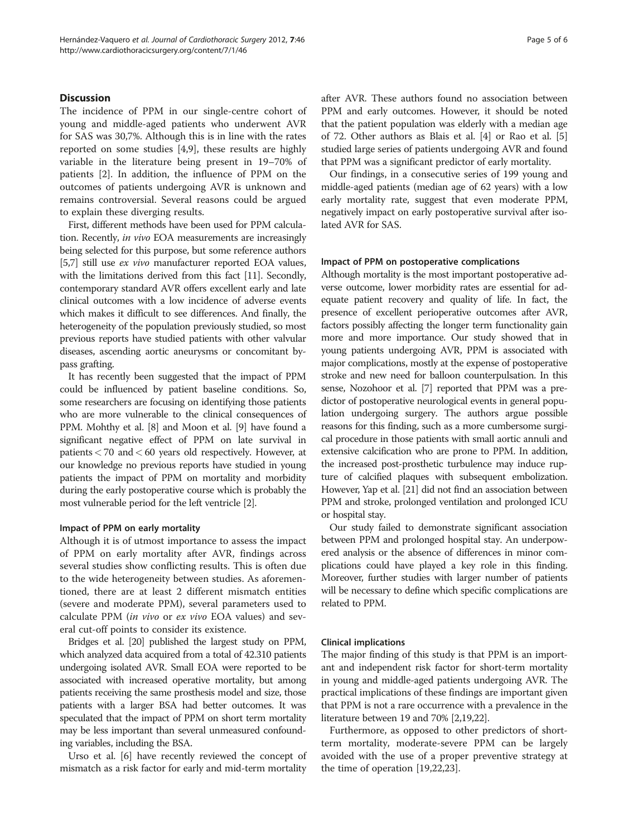## **Discussion**

The incidence of PPM in our single-centre cohort of young and middle-aged patients who underwent AVR for SAS was 30,7%. Although this is in line with the rates reported on some studies [\[4](#page-5-0),[9](#page-5-0)], these results are highly variable in the literature being present in 19–70% of patients [[2\]](#page-5-0). In addition, the influence of PPM on the outcomes of patients undergoing AVR is unknown and remains controversial. Several reasons could be argued to explain these diverging results.

First, different methods have been used for PPM calculation. Recently, in vivo EOA measurements are increasingly being selected for this purpose, but some reference authors [[5,7](#page-5-0)] still use *ex vivo* manufacturer reported EOA values, with the limitations derived from this fact [[11](#page-5-0)]. Secondly, contemporary standard AVR offers excellent early and late clinical outcomes with a low incidence of adverse events which makes it difficult to see differences. And finally, the heterogeneity of the population previously studied, so most previous reports have studied patients with other valvular diseases, ascending aortic aneurysms or concomitant bypass grafting.

It has recently been suggested that the impact of PPM could be influenced by patient baseline conditions. So, some researchers are focusing on identifying those patients who are more vulnerable to the clinical consequences of PPM. Mohthy et al. [\[8\]](#page-5-0) and Moon et al. [\[9](#page-5-0)] have found a significant negative effect of PPM on late survival in patients< 70 and< 60 years old respectively. However, at our knowledge no previous reports have studied in young patients the impact of PPM on mortality and morbidity during the early postoperative course which is probably the most vulnerable period for the left ventricle [[2\]](#page-5-0).

#### Impact of PPM on early mortality

Although it is of utmost importance to assess the impact of PPM on early mortality after AVR, findings across several studies show conflicting results. This is often due to the wide heterogeneity between studies. As aforementioned, there are at least 2 different mismatch entities (severe and moderate PPM), several parameters used to calculate PPM (in vivo or ex vivo EOA values) and several cut-off points to consider its existence.

Bridges et al. [\[20](#page-5-0)] published the largest study on PPM, which analyzed data acquired from a total of 42.310 patients undergoing isolated AVR. Small EOA were reported to be associated with increased operative mortality, but among patients receiving the same prosthesis model and size, those patients with a larger BSA had better outcomes. It was speculated that the impact of PPM on short term mortality may be less important than several unmeasured confounding variables, including the BSA.

Urso et al. [\[6](#page-5-0)] have recently reviewed the concept of mismatch as a risk factor for early and mid-term mortality after AVR. These authors found no association between PPM and early outcomes. However, it should be noted that the patient population was elderly with a median age of 72. Other authors as Blais et al. [\[4](#page-5-0)] or Rao et al. [[5](#page-5-0)] studied large series of patients undergoing AVR and found that PPM was a significant predictor of early mortality.

Our findings, in a consecutive series of 199 young and middle-aged patients (median age of 62 years) with a low early mortality rate, suggest that even moderate PPM, negatively impact on early postoperative survival after isolated AVR for SAS.

#### Impact of PPM on postoperative complications

Although mortality is the most important postoperative adverse outcome, lower morbidity rates are essential for adequate patient recovery and quality of life. In fact, the presence of excellent perioperative outcomes after AVR, factors possibly affecting the longer term functionality gain more and more importance. Our study showed that in young patients undergoing AVR, PPM is associated with major complications, mostly at the expense of postoperative stroke and new need for balloon counterpulsation. In this sense, Nozohoor et al. [[7](#page-5-0)] reported that PPM was a predictor of postoperative neurological events in general population undergoing surgery. The authors argue possible reasons for this finding, such as a more cumbersome surgical procedure in those patients with small aortic annuli and extensive calcification who are prone to PPM. In addition, the increased post-prosthetic turbulence may induce rupture of calcified plaques with subsequent embolization. However, Yap et al. [[21](#page-5-0)] did not find an association between PPM and stroke, prolonged ventilation and prolonged ICU or hospital stay.

Our study failed to demonstrate significant association between PPM and prolonged hospital stay. An underpowered analysis or the absence of differences in minor complications could have played a key role in this finding. Moreover, further studies with larger number of patients will be necessary to define which specific complications are related to PPM.

#### Clinical implications

The major finding of this study is that PPM is an important and independent risk factor for short-term mortality in young and middle-aged patients undergoing AVR. The practical implications of these findings are important given that PPM is not a rare occurrence with a prevalence in the literature between 19 and 70% [\[2,19,22](#page-5-0)].

Furthermore, as opposed to other predictors of shortterm mortality, moderate-severe PPM can be largely avoided with the use of a proper preventive strategy at the time of operation [[19,22,23\]](#page-5-0).